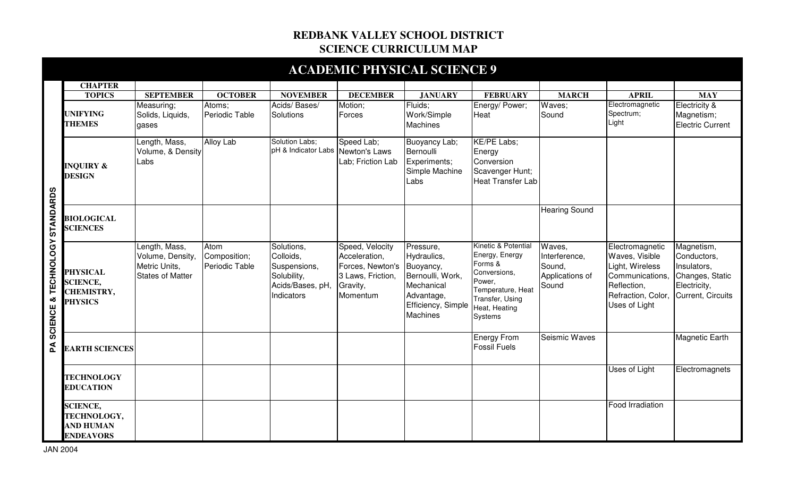## **REDBANK VALLEY SCHOOL DISTRICT SCIENCE CURRICULUM MAP**

|                                |                                                                           |                                                                               |                                        |                                                                                          |                                                                                                   | <b>ACADEMIC PHYSICAL SCIENCE 9</b>                                                                                             |                                                                                                                                                |                                                               |                                                                                                                               |                                                                                                  |
|--------------------------------|---------------------------------------------------------------------------|-------------------------------------------------------------------------------|----------------------------------------|------------------------------------------------------------------------------------------|---------------------------------------------------------------------------------------------------|--------------------------------------------------------------------------------------------------------------------------------|------------------------------------------------------------------------------------------------------------------------------------------------|---------------------------------------------------------------|-------------------------------------------------------------------------------------------------------------------------------|--------------------------------------------------------------------------------------------------|
|                                | <b>CHAPTER</b>                                                            |                                                                               |                                        |                                                                                          |                                                                                                   |                                                                                                                                |                                                                                                                                                |                                                               |                                                                                                                               |                                                                                                  |
|                                | <b>TOPICS</b>                                                             | <b>SEPTEMBER</b>                                                              | <b>OCTOBER</b>                         | <b>NOVEMBER</b>                                                                          | <b>DECEMBER</b>                                                                                   | <b>JANUARY</b>                                                                                                                 | <b>FEBRUARY</b>                                                                                                                                | <b>MARCH</b>                                                  | <b>APRIL</b>                                                                                                                  | <b>MAY</b>                                                                                       |
| SCIENCE & TECHNOLOGY STANDARDS | <b>UNIFYING</b><br><b>THEMES</b>                                          | Measuring;<br>Solids, Liquids,<br>qases                                       | Atoms;<br>Periodic Table               | Acids/Bases/<br>Solutions                                                                | Motion;<br>Forces                                                                                 | Fluids;<br>Work/Simple<br><b>Machines</b>                                                                                      | Energy/ Power;<br>Heat                                                                                                                         | Waves;<br>Sound                                               | Electromagnetic<br>Spectrum;<br>Light                                                                                         | Electricity &<br>Magnetism;<br><b>Electric Current</b>                                           |
|                                | <b>INQUIRY &amp;</b><br><b>DESIGN</b>                                     | Length, Mass,<br>Volume, & Density<br>Labs                                    | Alloy Lab                              | Solution Labs;<br>pH & Indicator Labs Newton's Laws                                      | Speed Lab;<br>Lab; Friction Lab                                                                   | Buoyancy Lab;<br>Bernoulli<br>Experiments;<br>Simple Machine<br>Labs                                                           | KE/PE Labs;<br>Energy<br>Conversion<br>Scavenger Hunt;<br><b>Heat Transfer Lab</b>                                                             |                                                               |                                                                                                                               |                                                                                                  |
|                                | <b>BIOLOGICAL</b><br><b>SCIENCES</b>                                      |                                                                               |                                        |                                                                                          |                                                                                                   |                                                                                                                                |                                                                                                                                                | <b>Hearing Sound</b>                                          |                                                                                                                               |                                                                                                  |
|                                | <b>PHYSICAL</b><br><b>SCIENCE,</b><br><b>CHEMISTRY,</b><br><b>PHYSICS</b> | Length, Mass,<br>Volume, Density,<br>Metric Units,<br><b>States of Matter</b> | Atom<br>Composition;<br>Periodic Table | Solutions,<br>Colloids,<br>Suspensions,<br>Solubility,<br>Acids/Bases, pH,<br>Indicators | Speed, Velocity<br>Acceleration,<br>Forces, Newton's<br>3 Laws, Friction,<br>Gravity,<br>Momentum | Pressure,<br>Hydraulics,<br>Buoyancy,<br>Bernoulli, Work,<br>Mechanical<br>Advantage,<br>Efficiency, Simple<br><b>Machines</b> | Kinetic & Potential<br>Energy, Energy<br>Forms &<br>Conversions,<br>Power,<br>Temperature, Heat<br>Transfer, Using<br>Heat, Heating<br>Systems | Waves,<br>Interference,<br>Sound.<br>Applications of<br>Sound | Electromagnetic<br>Waves, Visible<br>Light, Wireless<br>Communications,<br>Reflection,<br>Refraction, Color,<br>Uses of Light | Magnetism,<br>Conductors,<br>Insulators,<br>Changes, Static<br>Electricity,<br>Current, Circuits |
| Ã                              | <b>EARTH SCIENCES</b>                                                     |                                                                               |                                        |                                                                                          |                                                                                                   |                                                                                                                                | <b>Energy From</b><br><b>Fossil Fuels</b>                                                                                                      | Seismic Waves                                                 |                                                                                                                               | <b>Magnetic Earth</b>                                                                            |
|                                | <b>TECHNOLOGY</b><br><b>EDUCATION</b>                                     |                                                                               |                                        |                                                                                          |                                                                                                   |                                                                                                                                |                                                                                                                                                |                                                               | Uses of Light                                                                                                                 | Electromagnets                                                                                   |
|                                | <b>SCIENCE,</b><br>TECHNOLOGY,<br><b>AND HUMAN</b><br><b>ENDEAVORS</b>    |                                                                               |                                        |                                                                                          |                                                                                                   |                                                                                                                                |                                                                                                                                                |                                                               | Food Irradiation                                                                                                              |                                                                                                  |